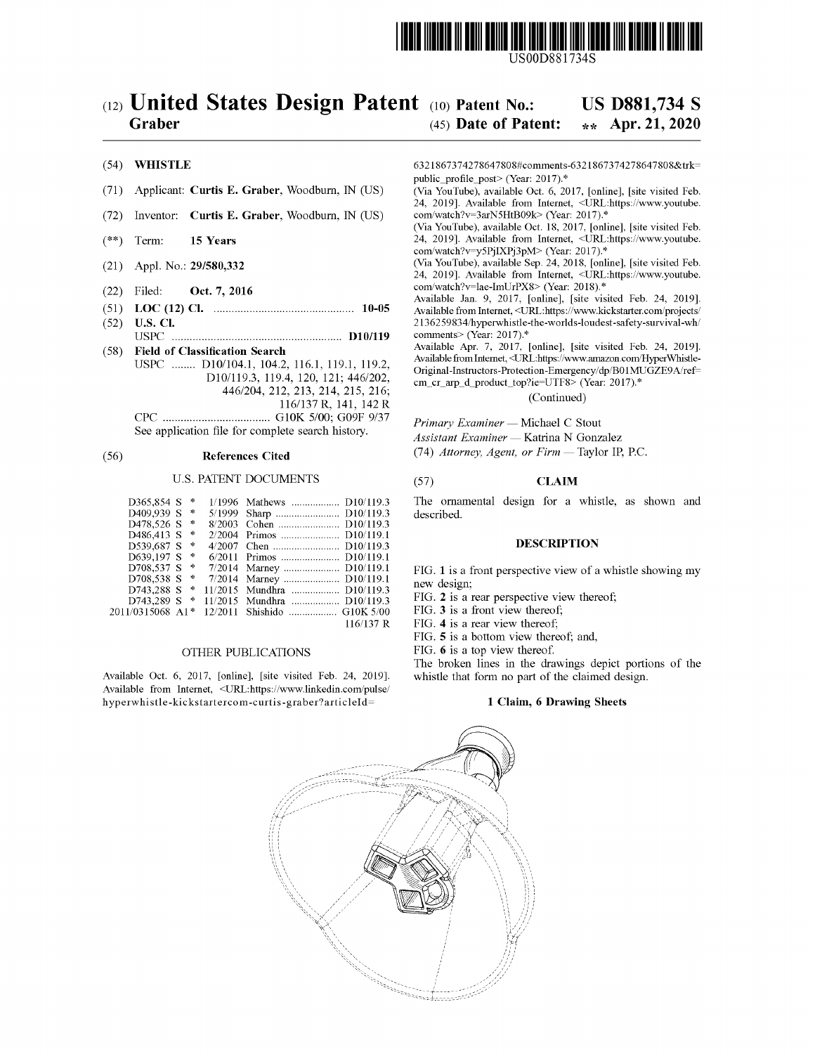

USOOD881734S

# $(12)$  United States Design Patent  $(10)$  Patent No.: Graber

# US D881,734 S

### $(45)$  Date of Patent: \*\* Apr. 21, 2020

### $(54)$  WHISTLE

- (71) Applicant: Curtis E. Graber, Woodburn, IN (US)
- $(72)$  Inventor: **Curtis E. Graber**, Woodburn, IN  $(US)$
- $(**)$  Term: 15 Years
- $(21)$  Appl. No.: 29/580,332
- (22) Filed: Oct. 7, 2016
- ( 51 ) LOC ( 12 ) Cl . 10-05
- ( 52 ) U.S. CI . USPC D10 / 119
- (58) **Field of Classification Search**<br>USPC ........ D10/104.1, 104.2, 116.1, 119.1, 119.2, D10/119.3, 119.4, 120, 121; 446/202, 446/204, 212, 213, 214, 215, 216; 116/137 R, 141, 142 R CPC G10K 5/00 ; GO9F 9/37 SEE ANTIFUL AND STRING STRING Primary Examiner — Michael C Stout<br>See application file for complete search history.

| D365,854 S       | 咔             | 1/1996 Mathews  D10/119.3   |
|------------------|---------------|-----------------------------|
| D409,939 S       | 净             | 5/1999 Sharp  D10/119.3     |
| D478.526 S       | 涞             | 8/2003 Cohen  D10/119.3     |
| D486.413 S       | $\rightarrow$ | 2/2004 Primos  D10/119.1    |
| D539.687 S       | 卡             |                             |
| D639.197 S *     |               | 6/2011 Primos  D10/119.1    |
| D708.537 S       | 咔             | 7/2014 Marney  D10/119.1    |
| $D708,538 S$ *   |               | 7/2014 Marney  D10/119.1    |
| D743.288 S *     |               | 11/2015 Mundhra  D10/119.3  |
| D743,289 S *     |               | 11/2015 Mundhra  D10/119.3  |
| 2011/0315068 A1* |               | 12/2011 Shishido  G10K 5/00 |
|                  |               | 116/137 R                   |

### OTHER PUBLICATIONS

Available Oct. 6, 2017, [online], [site visited Feb. 24, 2019]. whistle that form no part of the claimed des<br>Available from Internet, <URL:https://www.linkedin.com/pulse/<br>hyperwhistle-kickstartercom-curtis-graber?articleId

6321867374278647808# comments - 6321867374278647808& trk = public\_profile\_post> (Year: 2017).\*<br>(Via YouTube), available Oct. 6, 2017, [online], [site visited Feb.

24, 2019]. Available from Internet, <URL:https://www.youtube. com/watch?v=3arN5HtB09k> (Year: 2017).\*

(Via YouTube), available Oct. 18, 2017, [online], [site visited Feb. 24, 2019]. Available from Internet, <URL:https://www.youtube. com/watch?v=y5PjIXPj3pM> (Year: 2017).\*

(Via YouTube), available Sep. 24, 2018, [online], [site visited Feb. 24, 2019]. Available from Internet, <URL:https://www.youtube. com/watch?v=lae-ImUrPX8> (Year: 2018).\*<br>Available Jan. 9, 2017, [online], [site visited Feb. 24, 2019].

Available from Internet, <URL:https://www.kickstarter.com/projects/<br>2136259834/hyperwhistle-the-worlds-loudest-safety-survival-wh/<br>comments> (Year: 2017).\*

Available Apr. 7, 2017, [online], [site visited Feb. 24, 2019]. Available from Internet, <URL:https://www.amazon.com/HyperWhistle-Original-Instructors-Protection-Emergency/dp/B01MUGZE9A/ref= cm\_cr\_arp\_d\_product\_top?ie=UTF8> (Year: 2017).\*

(Continued)

Assistant Examiner - Katrina N Gonzalez

(56) **References Cited** (74) *Attorney, Agent, or Firm* — Taylor IP, P.C.

# U.S. PATENT DOCUMENTS (57) CLAIM

The ornamental design for a whistle, as shown and described.

### DESCRIPTION

FIG. 1 is a front perspective view of a whistle showing my new design;

FIG. 2 is a rear perspective view thereof;

FIG. 3 is a front view thereof;

FIG. 4 is a rear view thereof;<br>FIG. 5 is a bottom view thereof; and,

FIG. 6 is a top view thereof.<br>The broken lines in the drawings depict portions of the whistle that form no part of the claimed design.

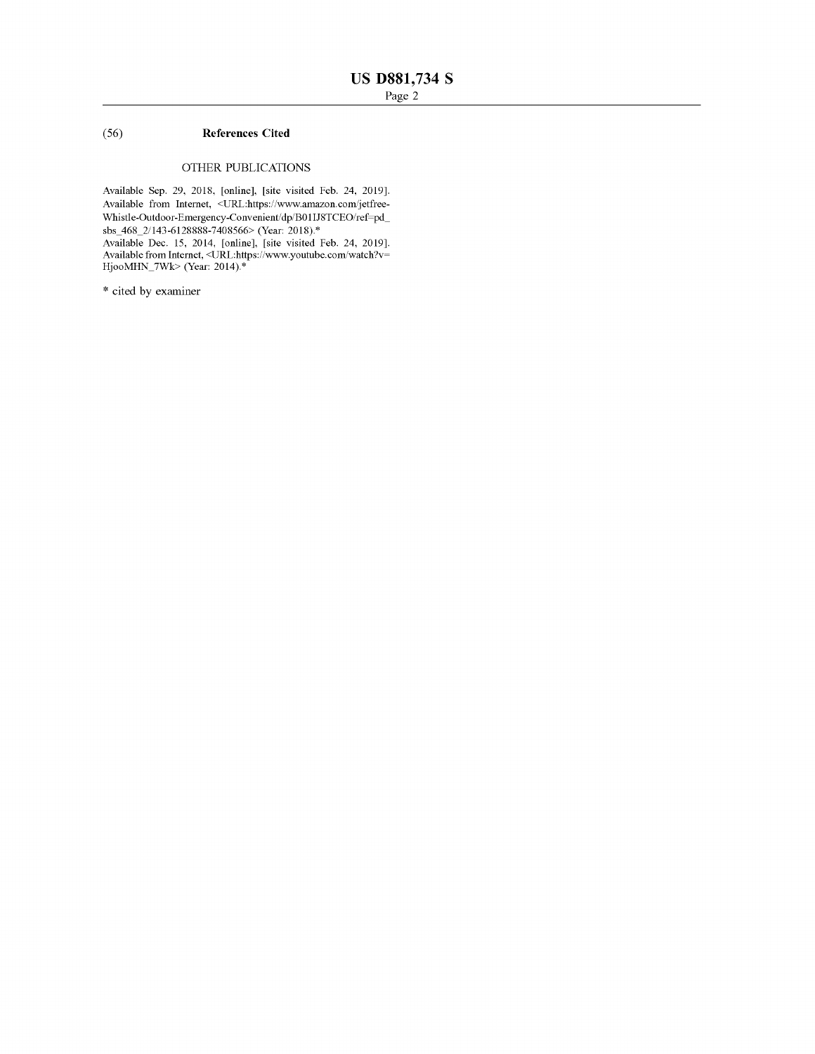# ( 56 ) References Cited

# OTHER PUBLICATIONS

Available Sep. 29, 2018, [online], [site visited Feb. 24, 2019].<br>Available from Internet, <URL:https://www.amazon.com/jetfree-Whistle-Outdoor-Emergency-Convenient/dp/B01IJ8TCEO/ref=pd\_ sbs\_468\_2/143-6128888-7408566> (Year: 2018).\*

Available Dec. 15, 2014, [omline], [site visited Feb. 24, 2019].<br>Available from Internet, <URL:https://www.youtube.com/watch?v= HjooMHN\_7Wk> (Year: 2014).\*

\* cited by examiner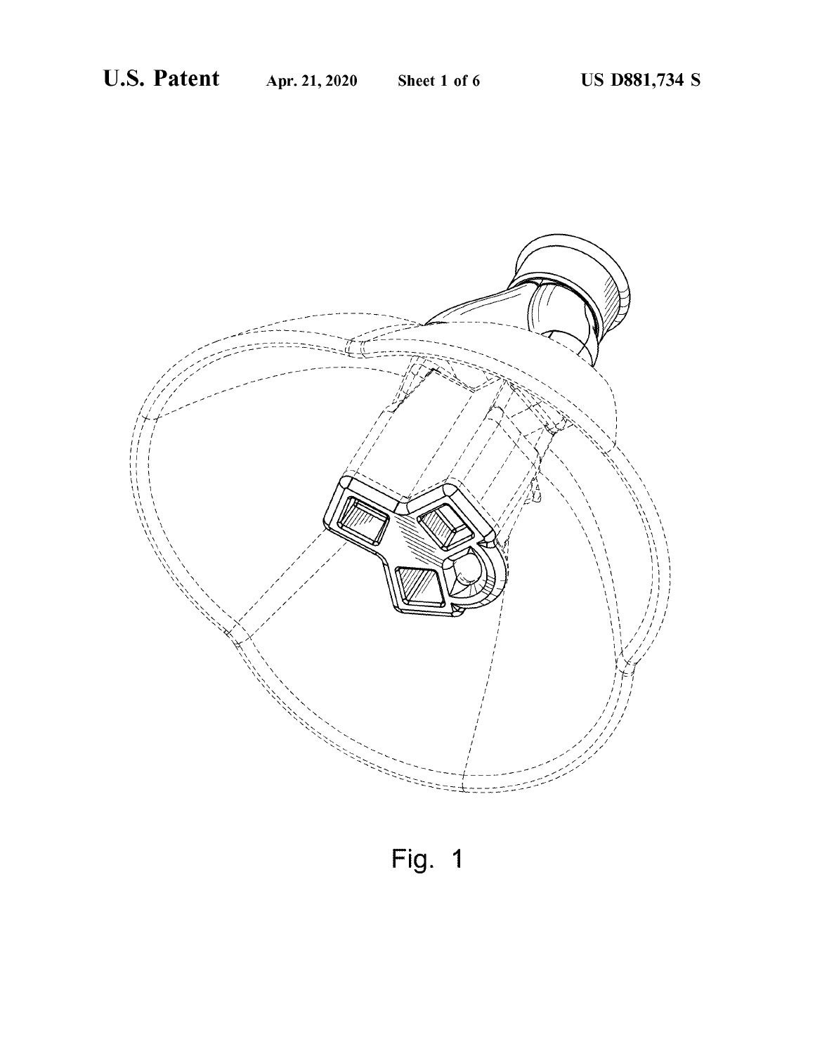

Fig. 1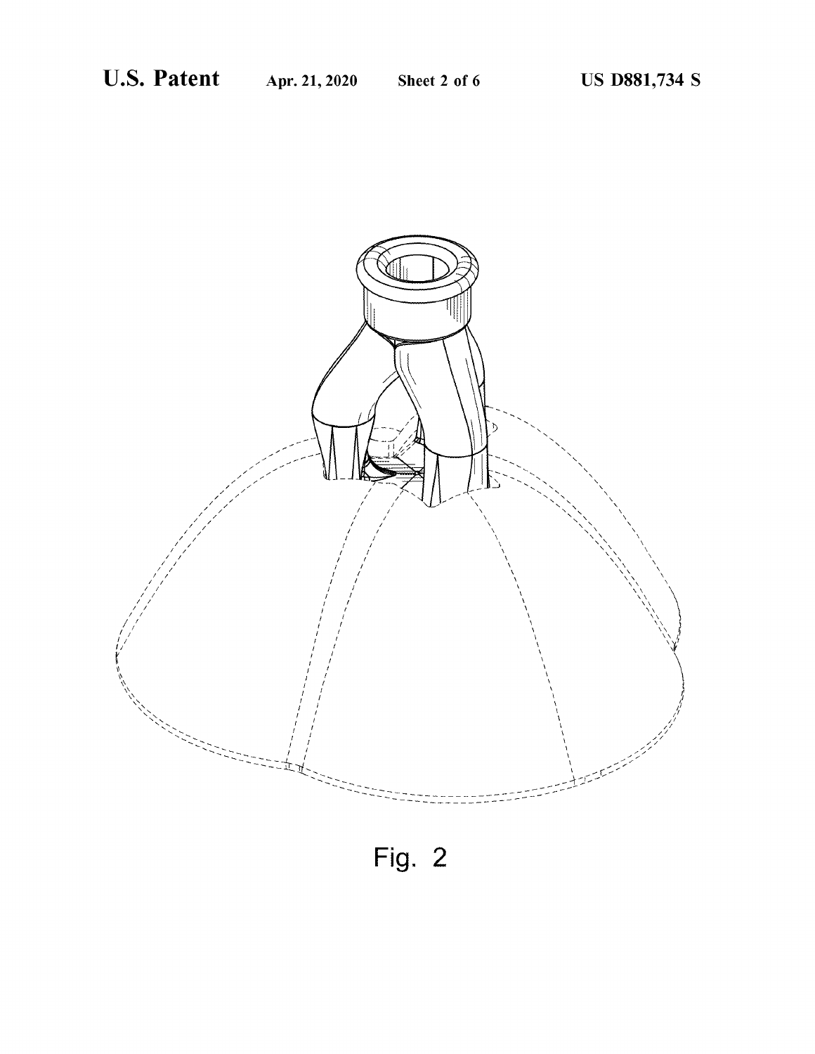

Fig. 2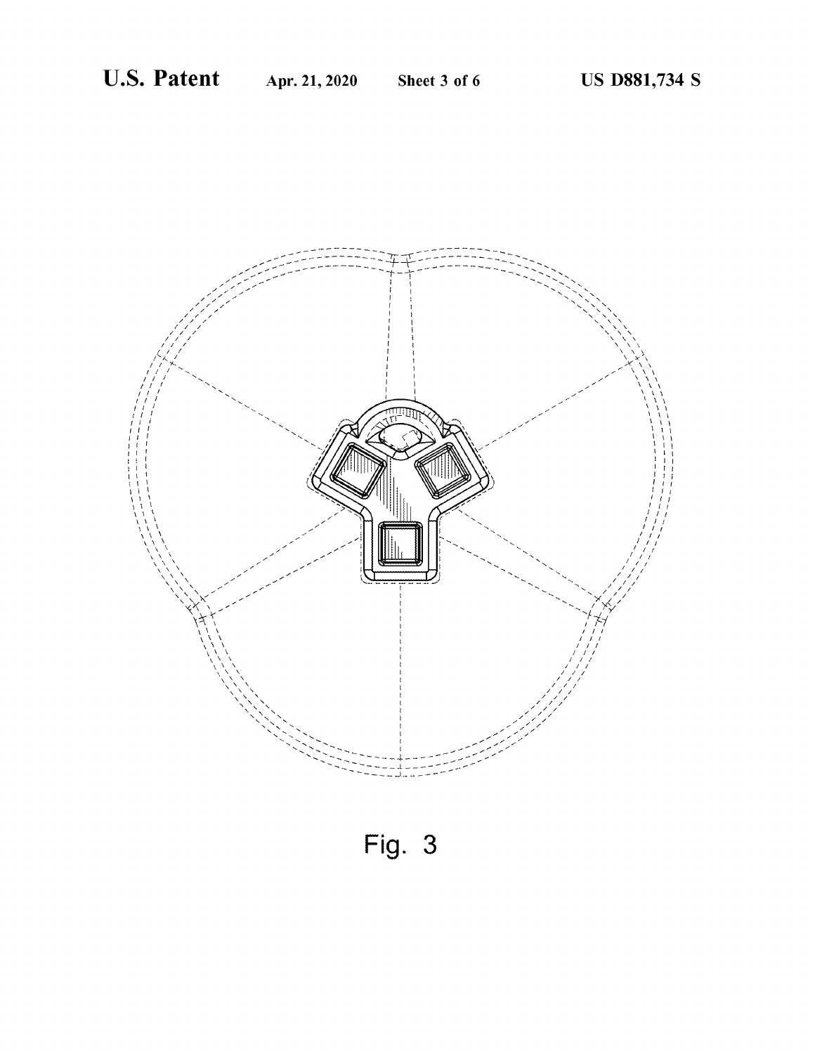

Fig.  $3$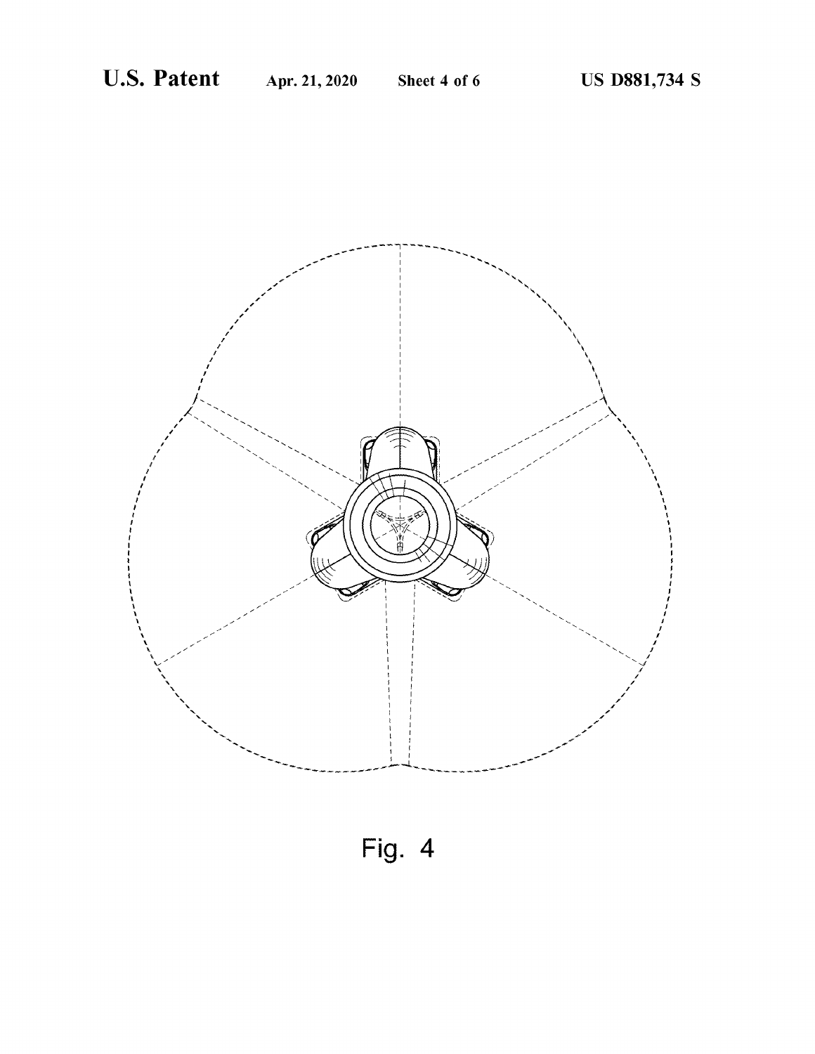

Fig. 4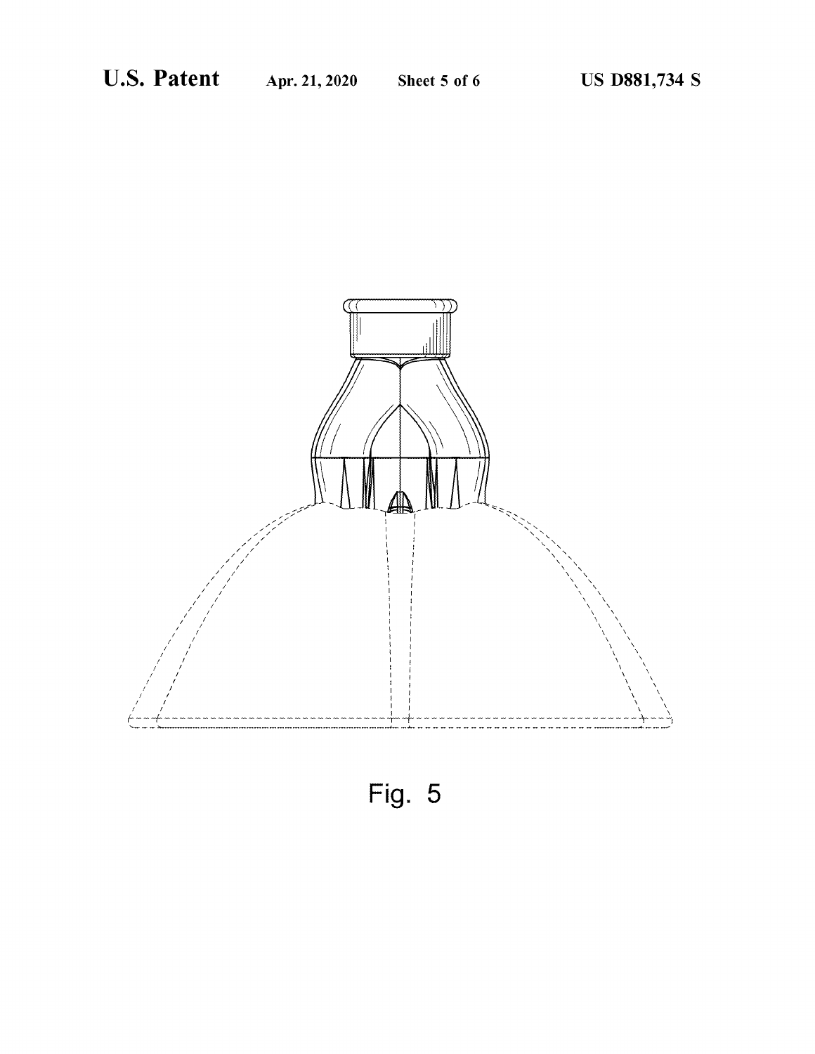

Fig. 5